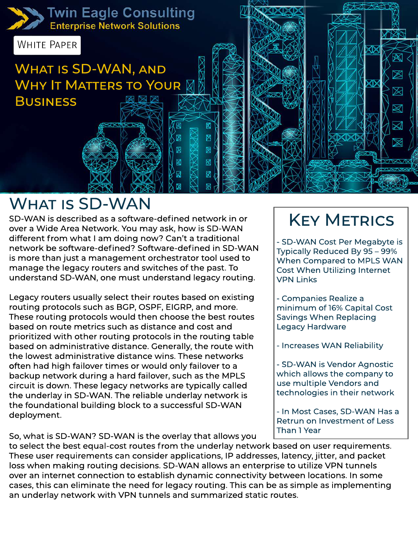

### **WHAT IS SD-WAN**

SD-WAN is described as a software-defined network in or over a Wide Area Network. You may ask, how is SD-WAN different from what I am doing now? Can't a traditional network be software-defined? Software-defined in SD-WAN is more than just a management orchestrator tool used to manage the legacy routers and switches of the past. To understand SD-WAN, one must understand legacy routing.

Legacy routers usually select their routes based on existing routing protocols such as BGP, OSPF, EIGRP, and more. These routing protocols would then choose the best routes based on route metrics such as distance and cost and prioritized with other routing protocols in the routing table based on administrative distance. Generally, the route with the lowest administrative distance wins. These networks often had high failover times or would only failover to a backup network during a hard failover, such as the MPLS circuit is down. These legacy networks are typically called the underlay in SD-WAN. The reliable underlay network is the foundational building block to a successful SD-WAN deployment.

So, what is SD-WAN? SD-WAN is the overlay that allows you

# **KEY METRICS**

- SD-WAN Cost Per Megabyte is Typically Reduced By 95 - 99% When Compared to MPLS WAN Cost When Utilizing Internet **VPN Links** 

- Companies Realize a minimum of 16% Capital Cost Savings When Replacing Legacy Hardware

- Increases WAN Reliability

- SD-WAN is Vendor Agnostic which allows the company to use multiple Vendors and technologies in their network

- In Most Cases, SD-WAN Has a Retrun on Investment of Less Than1Year

to select the best equal-cost routes from the underlay network based on user requirements. These user requirements can consider applications, IP addresses, latency, jitter, and packet loss when making routing decisions. SD-WAN allows an enterprise to utilize VPN tunnels over an internet connection to establish dynamic connectivity between locations. In some cases, this can eliminate the need for legacy routing. This can be as simple as implementing an underlay network with VPN tunnels and summarized static routes.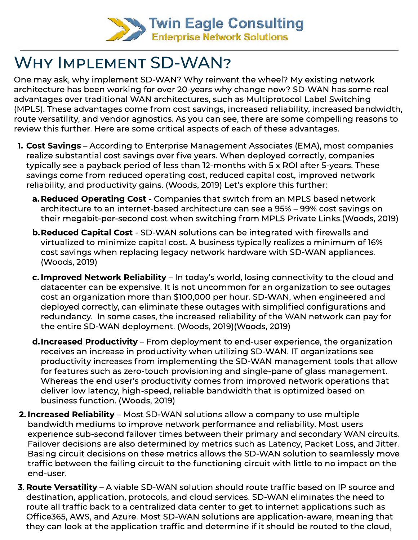

### WHY IMPLEMENT SD-WAN?

One may ask, why implement SD-WAN? Why reinvent the wheel? My existing network architecture has been working for over 20-years why change now? SD-WAN has some real advantages over traditional WAN architectures, such as Multiprotocol Label Switching (MPLS). These advantages come from cost savings, increased reliability, increased bandwidth, route versatility, and vendor agnostics. As you can see, there are some compelling reasons to review this further. Here are some critical aspects of each of these advantages.

- **1. Cost Savings** According to Enterprise Management Associates (EMA), most companies realize substantial cost savings over five years. When deployed correctly, companies typically see a payback period of less than 12-months with 5 x ROI after 5-years. These savings come from reduced operating cost, reduced capital cost, improved network reliability, and productivity gains. (Woods, 2019) Let's explore this further:
	- a. Reduced Operating Cost Companies that switch from an MPLS based network architecture to an internet-based architecture can see a 95% – 99% cost savings on their megabit-per-second cost when switching from MPLS Private Links.(Woods, 2019)
	- **b. Reduced Capital Cost** SD-WAN solutions can be integrated with firewalls and virtualized to minimize capital cost. A business typically realizes a minimum of 16% cost savings when replacing legacy network hardware with SD-WAN appliances. (Woods,2019)
	- **c. Improved Network Reliability** In today's world, losing connectivity to the cloud and datacenter can be expensive. It is not uncommon for an organization to see outages cost an organization more than \$100,000 per hour. SD-WAN, when engineered and deployed correctly, can eliminate these outages with simplified configurations and redundancy. In some cases, the increased reliability of the WAN network can pay for the entire SD-WAN deployment. (Woods, 2019)(Woods, 2019)
	- **d.Increased Productivity** From deployment to end-user experience, the organization receives an increase in productivity when utilizing SD-WAN. IT organizations see productivity increases from implementing the SD-WAN management tools that allow for features such as zero-touch provisioning and single-pane of glass management. Whereas the end user's productivity comes from improved network operations that deliver low latency, high-speed, reliable bandwidth that is optimized based on businessfunction.(Woods,2019)
- **2. Increased Reliability** Most SD-WAN solutions allow a company to use multiple bandwidth mediums to improve network performance and reliability. Most users experience sub-second failover times between their primary and secondary WAN circuits. Failover decisions are also determined by metrics such as Latency, Packet Loss, and Jitter. Basing circuit decisions on these metrics allows the SD-WAN solution to seamlessly move traffic between the failing circuit to the functioning circuit with little to no impact on the end-user.
- **3. Route Versatility** A viable SD-WAN solution should route traffic based on IP source and destination, application, protocols, and cloud services. SD-WAN eliminates the need to route all traffic back to a centralized data center to get to internet applications such as Office365, AWS, and Azure. Most SD-WAN solutions are application-aware, meaning that they can look at the application traffic and determine if it should be routed to the cloud,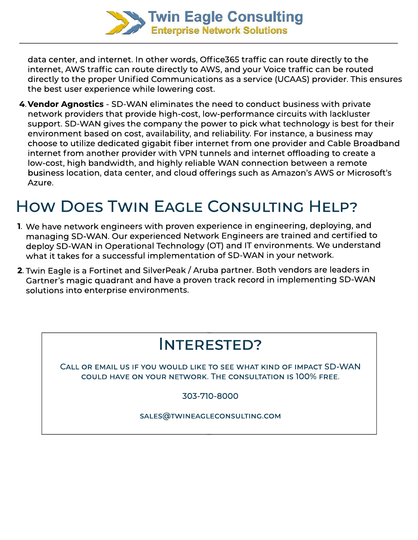

data center, and internet. In other words, Office365 traffic can route directly to the internet, AWS traffic can route directly to AWS, and your Voice traffic can be routed directly to the proper Unified Communications as a service (UCAAS) provider. This ensures the best user experience while lowering cost.

**4. Vendor Agnostics** - SD-WAN eliminates the need to conduct business with private network providers that provide high-cost, low-performance circuits with lackluster support. SD-WAN gives the company the power to pick what technology is best for their environment based on cost, availability, and reliability. For instance, a business may choose to utilize dedicated gigabit fiber internet from one provider and Cable Broadband internet from another provider with VPN tunnels and internet offloading to create a low-cost, high bandwidth, and highly reliable WAN connection between a remote business location, data center, and cloud offerings such as Amazon's AWS or Microsoft's Azure.

## HOW DOES TWIN EAGLE CONSULTING HELP?

- **1**. We have network engineers with proven experience in engineering, deploying, and managing SD-WAN. Our experienced Network Engineers are trained and certified to deploy SD-WAN in Operational Technology (OT) and IT environments. We understand what it takes for a successful implementation of SD-WAN in your network.
- **2**. Twin Eagle is a Fortinet and SilverPeak / Aruba partner. Both vendors are leaders in Gartner's magic quadrant and have a proven track record in implementing SD-WAN solutions into enterprise environments.

### Interested?

CALL OR EMAIL US IF YOU WOULD LIKE TO SEE WHAT KIND OF IMPACT SD-WAN couldhaveonyournetwork.Theconsultationis100%free.

303-710-8000

sales@twineagleconsulting.com